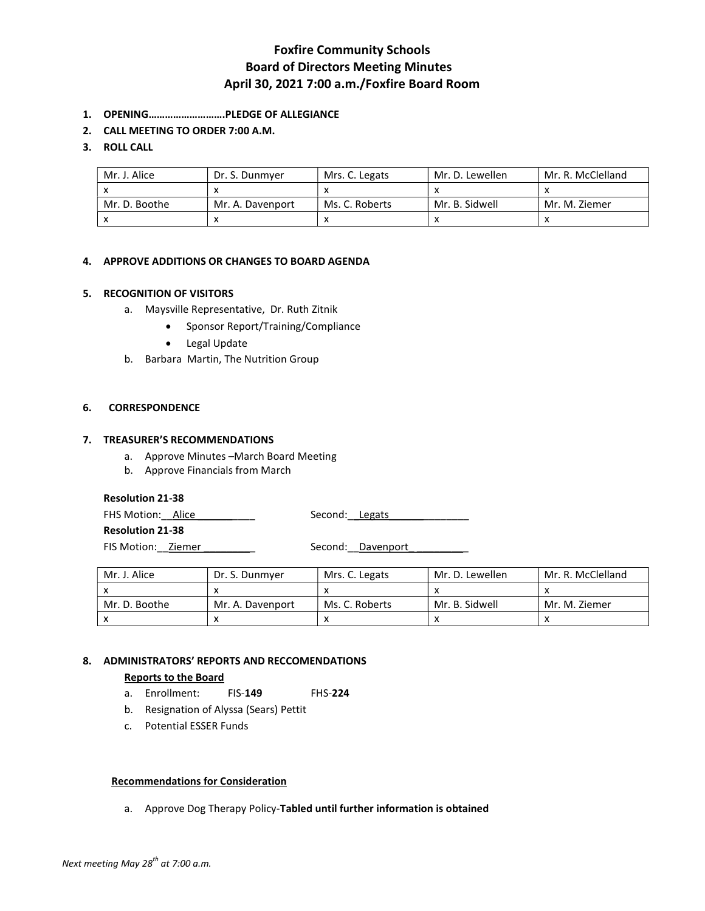# Foxfire Community Schools Board of Directors Meeting Minutes April 30, 2021 7:00 a.m./Foxfire Board Room

- 1. OPENING……………………….PLEDGE OF ALLEGIANCE
- 2. CALL MEETING TO ORDER 7:00 A.M.

## 3. ROLL CALL

| Mr. J. Alice  | Dr. S. Dunmyer   | Mrs. C. Legats | Mr. D. Lewellen | Mr. R. McClelland |
|---------------|------------------|----------------|-----------------|-------------------|
|               |                  |                |                 |                   |
| Mr. D. Boothe | Mr. A. Davenport | Ms. C. Roberts | Mr. B. Sidwell  | Mr. M. Ziemer     |
|               |                  |                |                 |                   |

## 4. APPROVE ADDITIONS OR CHANGES TO BOARD AGENDA

#### 5. RECOGNITION OF VISITORS

- a. Maysville Representative, Dr. Ruth Zitnik
	- Sponsor Report/Training/Compliance
	- Legal Update
- b. Barbara Martin, The Nutrition Group

#### 6. CORRESPONDENCE

## 7. TREASURER'S RECOMMENDATIONS

- a. Approve Minutes –March Board Meeting
- b. Approve Financials from March

#### Resolution 21-38

FHS Motion: Alice \_\_\_\_\_\_\_\_\_\_\_ Second: Legats

Resolution 21-38

FIS Motion:\_\_Ziemer \_\_\_\_\_\_\_\_\_ Second:\_\_Davenport\_ \_\_\_\_\_\_\_\_\_

| Mr. J. Alice  | Dr. S. Dunmver   | Mrs. C. Legats | Mr. D. Lewellen | Mr. R. McClelland |
|---------------|------------------|----------------|-----------------|-------------------|
|               |                  |                |                 |                   |
| Mr. D. Boothe | Mr. A. Davenport | Ms. C. Roberts | Mr. B. Sidwell  | Mr. M. Ziemer     |
|               |                  |                |                 |                   |

## 8. ADMINISTRATORS' REPORTS AND RECCOMENDATIONS

#### Reports to the Board

- a. Enrollment: FIS-149 FHS-224
- b. Resignation of Alyssa (Sears) Pettit
- c. Potential ESSER Funds

#### Recommendations for Consideration

a. Approve Dog Therapy Policy-Tabled until further information is obtained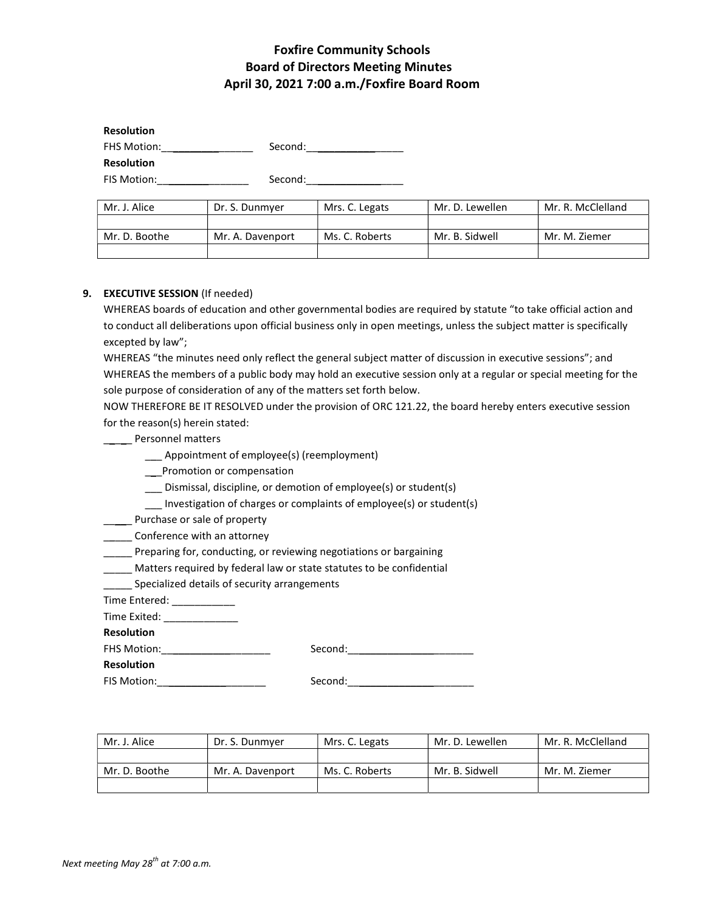# Foxfire Community Schools Board of Directors Meeting Minutes April 30, 2021 7:00 a.m./Foxfire Board Room

| <b>Resolution</b> |         |
|-------------------|---------|
| FHS Motion:       | Second: |
| <b>Resolution</b> |         |
| FIS Motion:       | Second: |

Mr. J. Alice | Dr. S. Dunmyer | Mrs. C. Legats | Mr. D. Lewellen | Mr. R. McClelland Mr. D. Boothe | Mr. A. Davenport | Ms. C. Roberts | Mr. B. Sidwell | Mr. M. Ziemer

# 9. EXECUTIVE SESSION (If needed)

WHEREAS boards of education and other governmental bodies are required by statute "to take official action and to conduct all deliberations upon official business only in open meetings, unless the subject matter is specifically excepted by law";

WHEREAS "the minutes need only reflect the general subject matter of discussion in executive sessions"; and WHEREAS the members of a public body may hold an executive session only at a regular or special meeting for the sole purpose of consideration of any of the matters set forth below.

NOW THEREFORE BE IT RESOLVED under the provision of ORC 121.22, the board hereby enters executive session for the reason(s) herein stated:

**\_\_\_\_** Personnel matters

- \_\_\_ Appointment of employee(s) (reemployment)
- \_\_\_Promotion or compensation
- \_\_\_ Dismissal, discipline, or demotion of employee(s) or student(s)
- \_\_\_ Investigation of charges or complaints of employee(s) or student(s)

**\_\_\_\_\_** Purchase or sale of property

**\_\_\_\_** Conference with an attorney

\_\_\_\_\_ Preparing for, conducting, or reviewing negotiations or bargaining

\_\_\_\_\_ Matters required by federal law or state statutes to be confidential

\_\_\_\_\_ Specialized details of security arrangements

Time Entered: \_\_\_\_\_\_\_\_\_\_\_\_\_

Time Exited: \_\_\_\_\_\_\_\_\_\_\_\_\_

Resolution

FHS Motion:\_\_\_\_\_\_\_\_\_\_\_\_\_\_\_\_\_\_\_ Second:\_\_\_\_\_\_\_\_\_\_\_\_\_\_\_\_\_\_\_\_\_\_

Resolution

FIS Motion:\_\_\_\_\_\_\_\_\_\_\_\_\_\_\_\_\_\_\_ Second:\_\_\_\_\_\_\_\_\_\_\_\_\_\_\_\_\_\_\_\_\_\_

| Mr. J. Alice  | Dr. S. Dunmyer   | Mrs. C. Legats | Mr. D. Lewellen | Mr. R. McClelland |
|---------------|------------------|----------------|-----------------|-------------------|
|               |                  |                |                 |                   |
| Mr. D. Boothe | Mr. A. Davenport | Ms. C. Roberts | Mr. B. Sidwell  | Mr. M. Ziemer     |
|               |                  |                |                 |                   |